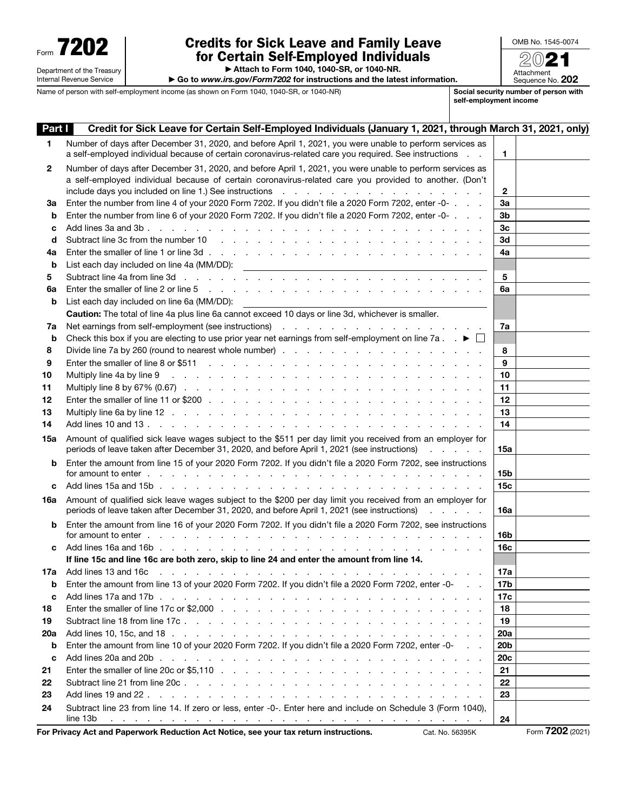Department of the Treasury Internal Revenue Service

# Form **7202** Credits for Sick Leave and Family Leave<br>
for Certain Self-Employed Individuals<br>
Attach to Form 1040, 1040-SB, or 1040-NB for Certain Self-Employed Individuals

| OMB No. 1545-0074              |
|--------------------------------|
| 202                            |
| Attachment<br>Sequence No. 202 |

▶ Attach to Form 1040, 1040-SR, or 1040-NR.

▶ Go to *www.irs.gov/Form7202* for instructions and the latest information.

Name of person with self-employment income (as shown on Form 1040, 1040-SR, or 1040-NR) Social security number of person with self-employment income

| Part I | Credit for Sick Leave for Certain Self-Employed Individuals (January 1, 2021, through March 31, 2021, only)                                                                                                                                                 |                 |  |
|--------|-------------------------------------------------------------------------------------------------------------------------------------------------------------------------------------------------------------------------------------------------------------|-----------------|--|
| 1      | Number of days after December 31, 2020, and before April 1, 2021, you were unable to perform services as                                                                                                                                                    |                 |  |
|        | a self-employed individual because of certain coronavirus-related care you required. See instructions                                                                                                                                                       | 1.              |  |
| 2      | Number of days after December 31, 2020, and before April 1, 2021, you were unable to perform services as                                                                                                                                                    |                 |  |
|        | a self-employed individual because of certain coronavirus-related care you provided to another. (Don't                                                                                                                                                      |                 |  |
|        |                                                                                                                                                                                                                                                             | 2               |  |
| За     | Enter the number from line 4 of your 2020 Form 7202. If you didn't file a 2020 Form 7202, enter -0-                                                                                                                                                         | Зa              |  |
| b      | Enter the number from line 6 of your 2020 Form 7202. If you didn't file a 2020 Form 7202, enter -0-                                                                                                                                                         | 3b              |  |
| c      |                                                                                                                                                                                                                                                             | 3c              |  |
| d      |                                                                                                                                                                                                                                                             | 3d              |  |
| 4a     |                                                                                                                                                                                                                                                             | 4a              |  |
| b      |                                                                                                                                                                                                                                                             |                 |  |
| 5      |                                                                                                                                                                                                                                                             | 5               |  |
| 6a     |                                                                                                                                                                                                                                                             | 6a              |  |
| b      | List each day included on line 6a (MM/DD):                                                                                                                                                                                                                  |                 |  |
|        | Caution: The total of line 4a plus line 6a cannot exceed 10 days or line 3d, whichever is smaller.                                                                                                                                                          |                 |  |
| 7a     |                                                                                                                                                                                                                                                             | 7a              |  |
| b      | Check this box if you are electing to use prior year net earnings from self-employment on line 7a. $\Box$                                                                                                                                                   |                 |  |
| 8      |                                                                                                                                                                                                                                                             | 8               |  |
| 9      | Enter the smaller of line 8 or \$511 (edge of the state of the 8 or \$511 (edge of the state of the state of the state of the state of the state of the state of the state of the state of the state of the state of the state o                            | 9               |  |
| 10     | Multiply line 4a by line 9<br>and a construction of the construction of the construction of the construction of the construction of the construction of the construction of the construction of the construction of the construction of the construction of | 10              |  |
| 11     |                                                                                                                                                                                                                                                             | 11              |  |
| 12     |                                                                                                                                                                                                                                                             | 12              |  |
| 13     |                                                                                                                                                                                                                                                             | 13              |  |
| 14     |                                                                                                                                                                                                                                                             | 14              |  |
| 15a    | Amount of qualified sick leave wages subject to the \$511 per day limit you received from an employer for                                                                                                                                                   |                 |  |
|        | periods of leave taken after December 31, 2020, and before April 1, 2021 (see instructions)                                                                                                                                                                 | 15a             |  |
| b      | Enter the amount from line 15 of your 2020 Form 7202. If you didn't file a 2020 Form 7202, see instructions                                                                                                                                                 |                 |  |
|        | for amount to enter enter the control of the control of the control of the control of the control of the control of the control of the control of the control of the control of the control of the control of the control of t                              | 15b             |  |
| c      |                                                                                                                                                                                                                                                             | 15c             |  |
| 16a    | Amount of qualified sick leave wages subject to the \$200 per day limit you received from an employer for                                                                                                                                                   |                 |  |
|        | periods of leave taken after December 31, 2020, and before April 1, 2021 (see instructions)<br>and the company of the                                                                                                                                       | 16a             |  |
| b      | Enter the amount from line 16 of your 2020 Form 7202. If you didn't file a 2020 Form 7202, see instructions                                                                                                                                                 |                 |  |
|        |                                                                                                                                                                                                                                                             | 16b             |  |
| с      |                                                                                                                                                                                                                                                             | 16c             |  |
|        | If line 15c and line 16c are both zero, skip to line 24 and enter the amount from line 14.                                                                                                                                                                  |                 |  |
| 17а    |                                                                                                                                                                                                                                                             | 17a             |  |
| b      | Enter the amount from line 13 of your 2020 Form 7202. If you didn't file a 2020 Form 7202, enter -0-                                                                                                                                                        | 17 <sub>b</sub> |  |
| c      |                                                                                                                                                                                                                                                             | 17c             |  |
| 18     |                                                                                                                                                                                                                                                             | 18              |  |
| 19     |                                                                                                                                                                                                                                                             | 19              |  |
| 20a    |                                                                                                                                                                                                                                                             | 20a             |  |
| b      | Enter the amount from line 10 of your 2020 Form 7202. If you didn't file a 2020 Form 7202, enter -0-                                                                                                                                                        | 20 <sub>b</sub> |  |
| C      |                                                                                                                                                                                                                                                             | <b>20c</b>      |  |
| 21     |                                                                                                                                                                                                                                                             | 21              |  |
| 22     |                                                                                                                                                                                                                                                             | 22              |  |
| 23     |                                                                                                                                                                                                                                                             | 23              |  |
| 24     | Subtract line 23 from line 14. If zero or less, enter -0-. Enter here and include on Schedule 3 (Form 1040),                                                                                                                                                |                 |  |
|        | line 13b<br>المناقب فالقارض والمناقب فالقارض والمناقب فالقارض والمناقب فالقارض والمناقب فالقارض والمناقب فالمناقب                                                                                                                                           | 24              |  |

For Privacy Act and Paperwork Reduction Act Notice, see your tax return instructions. Cat. No. 56395K Form 7202 (2021)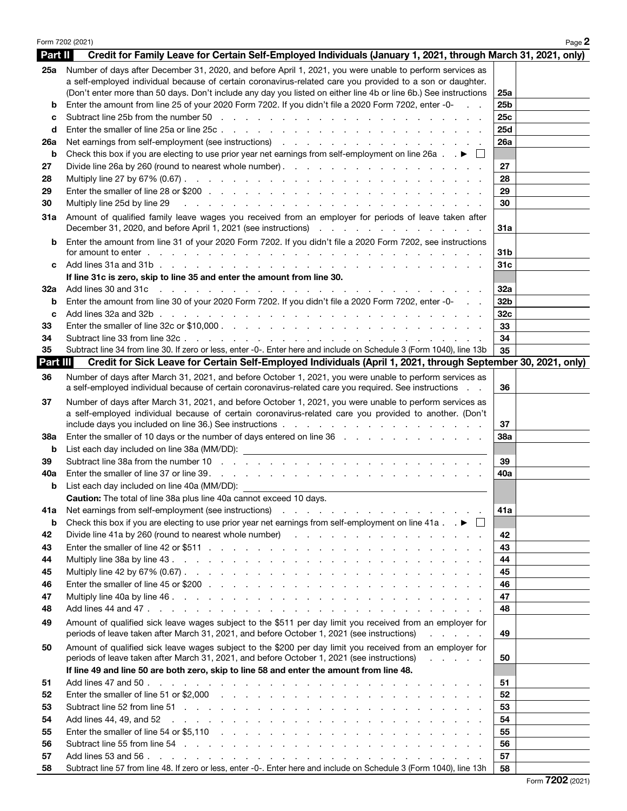|                | Form 7202 (2021)                                                                                                                                                                                                                                               |                 | Page 2 |
|----------------|----------------------------------------------------------------------------------------------------------------------------------------------------------------------------------------------------------------------------------------------------------------|-----------------|--------|
| Part II        | Credit for Family Leave for Certain Self-Employed Individuals (January 1, 2021, through March 31, 2021, only)                                                                                                                                                  |                 |        |
| 25a            | Number of days after December 31, 2020, and before April 1, 2021, you were unable to perform services as<br>a self-employed individual because of certain coronavirus-related care you provided to a son or daughter.                                          |                 |        |
|                | (Don't enter more than 50 days. Don't include any day you listed on either line 4b or line 6b.) See instructions                                                                                                                                               | 25a             |        |
| b              | Enter the amount from line 25 of your 2020 Form 7202. If you didn't file a 2020 Form 7202, enter -0-                                                                                                                                                           | 25 <sub>b</sub> |        |
| с              |                                                                                                                                                                                                                                                                | 25c<br>25d      |        |
| d              |                                                                                                                                                                                                                                                                | 26a             |        |
| 26a<br>b       | Check this box if you are electing to use prior year net earnings from self-employment on line 26a $\Box$                                                                                                                                                      |                 |        |
| 27             |                                                                                                                                                                                                                                                                | 27              |        |
| 28             |                                                                                                                                                                                                                                                                | 28              |        |
| 29             |                                                                                                                                                                                                                                                                | 29              |        |
| 30             | Multiply line 25d by line 29<br>and the property of the property of the property of the property of the property of the property of the property of the property of the property of the property of the property of the property of the property of the proper | 30              |        |
| 31a            | Amount of qualified family leave wages you received from an employer for periods of leave taken after<br>December 31, 2020, and before April 1, 2021 (see instructions)                                                                                        | 31a             |        |
| b              | Enter the amount from line 31 of your 2020 Form 7202. If you didn't file a 2020 Form 7202, see instructions                                                                                                                                                    | 31b             |        |
| c              |                                                                                                                                                                                                                                                                | 31c             |        |
|                | If line 31c is zero, skip to line 35 and enter the amount from line 30.                                                                                                                                                                                        |                 |        |
| 32a            |                                                                                                                                                                                                                                                                | 32a             |        |
| b              | Enter the amount from line 30 of your 2020 Form 7202. If you didn't file a 2020 Form 7202, enter -0-                                                                                                                                                           | 32 <sub>b</sub> |        |
| c              |                                                                                                                                                                                                                                                                | 32 <sub>c</sub> |        |
| 33             |                                                                                                                                                                                                                                                                | 33              |        |
| 34             |                                                                                                                                                                                                                                                                | 34              |        |
| 35<br>Part III | Subtract line 34 from line 30. If zero or less, enter -0-. Enter here and include on Schedule 3 (Form 1040), line 13b<br>Credit for Sick Leave for Certain Self-Employed Individuals (April 1, 2021, through September 30, 2021, only)                         | 35              |        |
| 36             | Number of days after March 31, 2021, and before October 1, 2021, you were unable to perform services as<br>a self-employed individual because of certain coronavirus-related care you required. See instructions                                               | 36              |        |
| 37             | Number of days after March 31, 2021, and before October 1, 2021, you were unable to perform services as<br>a self-employed individual because of certain coronavirus-related care you provided to another. (Don't                                              | 37              |        |
| 38a            |                                                                                                                                                                                                                                                                | <b>38a</b>      |        |
| b              |                                                                                                                                                                                                                                                                |                 |        |
| 39             |                                                                                                                                                                                                                                                                | 39              |        |
| 40a<br>b       |                                                                                                                                                                                                                                                                | 40a             |        |
|                | <b>Caution:</b> The total of line 38a plus line 40a cannot exceed 10 days.                                                                                                                                                                                     |                 |        |
| 41a            |                                                                                                                                                                                                                                                                | 41a             |        |
| b              | Check this box if you are electing to use prior year net earnings from self-employment on line 41a $\ldots \blacktriangleright \Box$                                                                                                                           |                 |        |
| 42             |                                                                                                                                                                                                                                                                | 42              |        |
| 43             |                                                                                                                                                                                                                                                                | 43              |        |
| 44             |                                                                                                                                                                                                                                                                | 44              |        |
| 45             |                                                                                                                                                                                                                                                                | 45              |        |
| 46             |                                                                                                                                                                                                                                                                | 46              |        |
| 47             |                                                                                                                                                                                                                                                                | 47              |        |
| 48             |                                                                                                                                                                                                                                                                | 48              |        |
| 49             | Amount of qualified sick leave wages subject to the \$511 per day limit you received from an employer for<br>periods of leave taken after March 31, 2021, and before October 1, 2021 (see instructions)<br>and the contract of the                             | 49              |        |
| 50             | Amount of qualified sick leave wages subject to the \$200 per day limit you received from an employer for<br>periods of leave taken after March 31, 2021, and before October 1, 2021 (see instructions)                                                        | 50              |        |
|                | If line 49 and line 50 are both zero, skip to line 58 and enter the amount from line 48.                                                                                                                                                                       |                 |        |
| 51             |                                                                                                                                                                                                                                                                | 51              |        |
| 52             |                                                                                                                                                                                                                                                                | 52              |        |
| 53             |                                                                                                                                                                                                                                                                | 53              |        |
| 54             | Add lines 44, 49, and 52<br>المتعاون والمتعاون والمتعاون والمتعاون والمتعاونة والمتعاونة والمتعاونة والمتعاونة والمتعاونة                                                                                                                                      | 54              |        |
| 55<br>56       |                                                                                                                                                                                                                                                                | 55<br>56        |        |
| 57             |                                                                                                                                                                                                                                                                | 57              |        |
| 58             | Subtract line 57 from line 48. If zero or less, enter -0-. Enter here and include on Schedule 3 (Form 1040), line 13h                                                                                                                                          | 58              |        |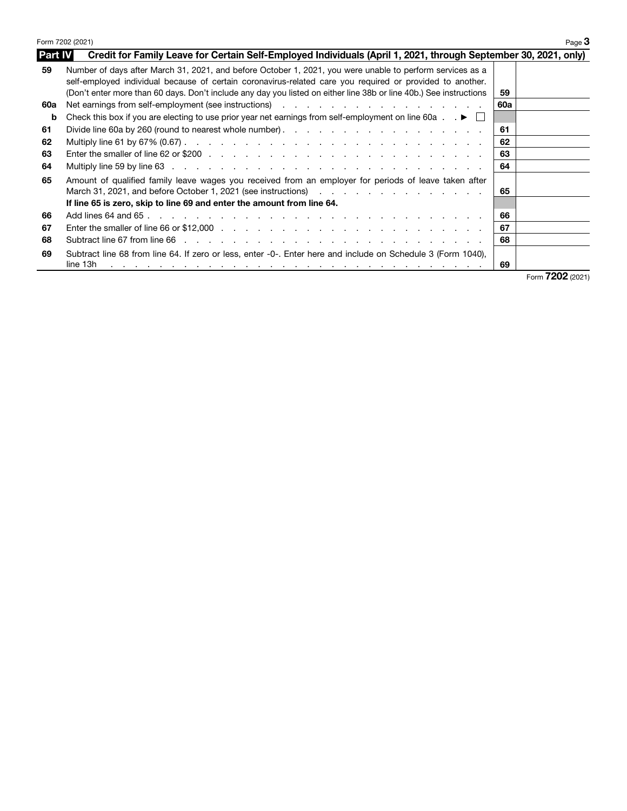|                | Form 7202 (2021)<br>Page $3$                                                                                                                                                                                                                                                                                                                 |     |      |  |  |
|----------------|----------------------------------------------------------------------------------------------------------------------------------------------------------------------------------------------------------------------------------------------------------------------------------------------------------------------------------------------|-----|------|--|--|
| <b>Part IV</b> | Credit for Family Leave for Certain Self-Employed Individuals (April 1, 2021, through September 30, 2021, only)                                                                                                                                                                                                                              |     |      |  |  |
| 59             | Number of days after March 31, 2021, and before October 1, 2021, you were unable to perform services as a<br>self-employed individual because of certain coronavirus-related care you required or provided to another.<br>(Don't enter more than 60 days. Don't include any day you listed on either line 38b or line 40b.) See instructions | 59  |      |  |  |
| 60a            | Net earnings from self-employment (see instructions) entering to the contract of the contract of the contract o                                                                                                                                                                                                                              | 60a |      |  |  |
| b              | Check this box if you are electing to use prior year net earnings from self-employment on line 60a $\ldots \blacktriangleright \square$                                                                                                                                                                                                      |     |      |  |  |
| 61             |                                                                                                                                                                                                                                                                                                                                              | 61  |      |  |  |
| 62             |                                                                                                                                                                                                                                                                                                                                              | 62  |      |  |  |
| 63             |                                                                                                                                                                                                                                                                                                                                              | 63  |      |  |  |
| 64             |                                                                                                                                                                                                                                                                                                                                              | 64  |      |  |  |
| 65             | Amount of qualified family leave wages you received from an employer for periods of leave taken after<br>March 31, 2021, and before October 1, 2021 (see instructions) and a contract of the contract of the March 31, 2021 (see instructions)                                                                                               | 65  |      |  |  |
|                | If line 65 is zero, skip to line 69 and enter the amount from line 64.                                                                                                                                                                                                                                                                       |     |      |  |  |
| 66             | Add lines 64 and 65 $\ldots$ $\ldots$ $\ldots$ $\ldots$ $\ldots$ $\ldots$ $\ldots$ $\ldots$ $\ldots$ $\ldots$ $\ldots$ $\ldots$                                                                                                                                                                                                              | 66  |      |  |  |
| 67             |                                                                                                                                                                                                                                                                                                                                              | 67  |      |  |  |
| 68             | Subtract line 67 from line 66 (edge) and the contract term in the contract line 67 from line 66 (edge)                                                                                                                                                                                                                                       | 68  |      |  |  |
| 69             | Subtract line 68 from line 64. If zero or less, enter -0-. Enter here and include on Schedule 3 (Form 1040),<br>line 13h<br>a constitution of the constitution of the constitution of the constitution of the constitution of the constitution                                                                                               | 69  | ,,,, |  |  |

Form **7202** (2021)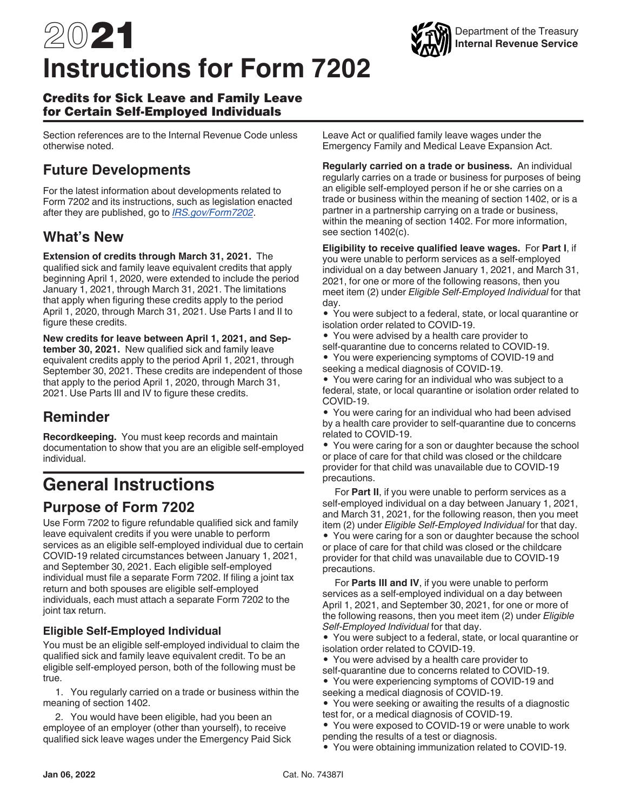# 2021 **Instructions for Form 7202**



#### Credits for Sick Leave and Family Leave for Certain Self-Employed Individuals

Section references are to the Internal Revenue Code unless otherwise noted.

# **Future Developments**

For the latest information about developments related to Form 7202 and its instructions, such as legislation enacted after they are published, go to *[IRS.gov/Form7202](https://www.irs.gov/form7202)*.

## **What's New**

**Extension of credits through March 31, 2021.** The qualified sick and family leave equivalent credits that apply beginning April 1, 2020, were extended to include the period January 1, 2021, through March 31, 2021. The limitations that apply when figuring these credits apply to the period April 1, 2020, through March 31, 2021. Use Parts I and II to figure these credits.

**New credits for leave between April 1, 2021, and September 30, 2021.** New qualified sick and family leave equivalent credits apply to the period April 1, 2021, through September 30, 2021. These credits are independent of those that apply to the period April 1, 2020, through March 31, 2021. Use Parts III and IV to figure these credits.

# **Reminder**

**Recordkeeping.** You must keep records and maintain documentation to show that you are an eligible self-employed individual.

# **General Instructions**

### **Purpose of Form 7202**

Use Form 7202 to figure refundable qualified sick and family leave equivalent credits if you were unable to perform services as an eligible self-employed individual due to certain COVID-19 related circumstances between January 1, 2021, and September 30, 2021. Each eligible self-employed individual must file a separate Form 7202. If filing a joint tax return and both spouses are eligible self-employed individuals, each must attach a separate Form 7202 to the joint tax return.

#### **Eligible Self-Employed Individual**

You must be an eligible self-employed individual to claim the qualified sick and family leave equivalent credit. To be an eligible self-employed person, both of the following must be true.

1. You regularly carried on a trade or business within the meaning of section 1402.

2. You would have been eligible, had you been an employee of an employer (other than yourself), to receive qualified sick leave wages under the Emergency Paid Sick Leave Act or qualified family leave wages under the Emergency Family and Medical Leave Expansion Act.

**Regularly carried on a trade or business.** An individual regularly carries on a trade or business for purposes of being an eligible self-employed person if he or she carries on a trade or business within the meaning of section 1402, or is a partner in a partnership carrying on a trade or business, within the meaning of section 1402. For more information, see section 1402(c).

**Eligibility to receive qualified leave wages.** For **Part I**, if you were unable to perform services as a self-employed individual on a day between January 1, 2021, and March 31, 2021, for one or more of the following reasons, then you meet item (2) under *Eligible Self-Employed Individual* for that day.

• You were subject to a federal, state, or local quarantine or isolation order related to COVID-19.

- You were advised by a health care provider to self-quarantine due to concerns related to COVID-19.
- You were experiencing symptoms of COVID-19 and seeking a medical diagnosis of COVID-19.

• You were caring for an individual who was subject to a federal, state, or local quarantine or isolation order related to COVID-19.

• You were caring for an individual who had been advised by a health care provider to self-quarantine due to concerns related to COVID-19.

• You were caring for a son or daughter because the school or place of care for that child was closed or the childcare provider for that child was unavailable due to COVID-19 precautions.

For **Part II**, if you were unable to perform services as a self-employed individual on a day between January 1, 2021, and March 31, 2021, for the following reason, then you meet item (2) under *Eligible Self-Employed Individual* for that day. • You were caring for a son or daughter because the school or place of care for that child was closed or the childcare provider for that child was unavailable due to COVID-19 precautions.

For **Parts III and IV**, if you were unable to perform services as a self-employed individual on a day between April 1, 2021, and September 30, 2021, for one or more of the following reasons, then you meet item (2) under *Eligible Self-Employed Individual* for that day.

• You were subject to a federal, state, or local quarantine or isolation order related to COVID-19.

- You were advised by a health care provider to
- self-quarantine due to concerns related to COVID-19.
- You were experiencing symptoms of COVID-19 and seeking a medical diagnosis of COVID-19.
- You were seeking or awaiting the results of a diagnostic test for, or a medical diagnosis of COVID-19.
- You were exposed to COVID-19 or were unable to work pending the results of a test or diagnosis.
- You were obtaining immunization related to COVID-19.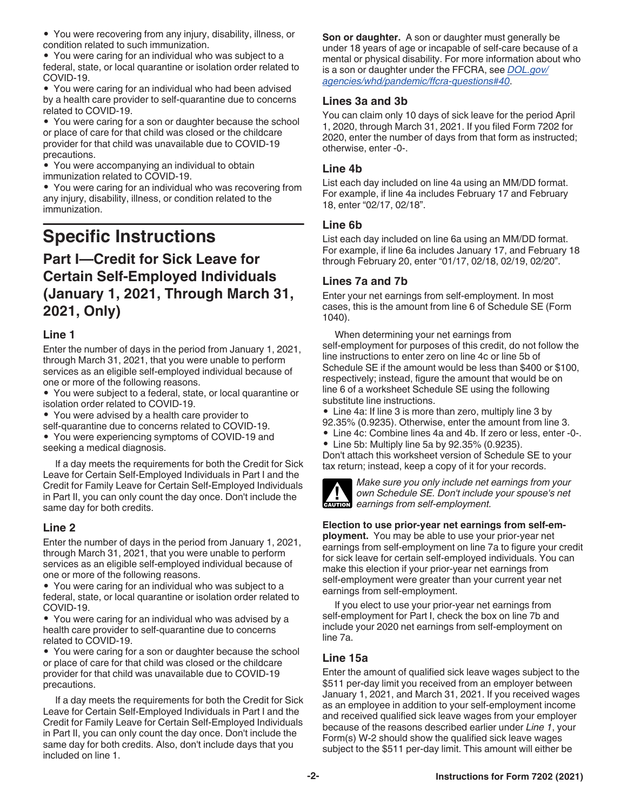• You were recovering from any injury, disability, illness, or condition related to such immunization.

• You were caring for an individual who was subject to a federal, state, or local quarantine or isolation order related to COVID-19.

• You were caring for an individual who had been advised by a health care provider to self-quarantine due to concerns related to COVID-19.

• You were caring for a son or daughter because the school or place of care for that child was closed or the childcare provider for that child was unavailable due to COVID-19 precautions.

• You were accompanying an individual to obtain immunization related to COVID-19.

• You were caring for an individual who was recovering from any injury, disability, illness, or condition related to the immunization.

# **Specific Instructions**

# **Part I—Credit for Sick Leave for Certain Self-Employed Individuals (January 1, 2021, Through March 31, 2021, Only)**

#### **Line 1**

Enter the number of days in the period from January 1, 2021, through March 31, 2021, that you were unable to perform services as an eligible self-employed individual because of one or more of the following reasons.

• You were subject to a federal, state, or local quarantine or isolation order related to COVID-19.

• You were advised by a health care provider to

self-quarantine due to concerns related to COVID-19.

• You were experiencing symptoms of COVID-19 and seeking a medical diagnosis.

If a day meets the requirements for both the Credit for Sick Leave for Certain Self-Employed Individuals in Part I and the Credit for Family Leave for Certain Self-Employed Individuals in Part II, you can only count the day once. Don't include the same day for both credits.

#### **Line 2**

Enter the number of days in the period from January 1, 2021, through March 31, 2021, that you were unable to perform services as an eligible self-employed individual because of one or more of the following reasons.

• You were caring for an individual who was subject to a federal, state, or local quarantine or isolation order related to COVID-19.

• You were caring for an individual who was advised by a health care provider to self-quarantine due to concerns related to COVID-19.

• You were caring for a son or daughter because the school or place of care for that child was closed or the childcare provider for that child was unavailable due to COVID-19 precautions.

If a day meets the requirements for both the Credit for Sick Leave for Certain Self-Employed Individuals in Part I and the Credit for Family Leave for Certain Self-Employed Individuals in Part II, you can only count the day once. Don't include the same day for both credits. Also, don't include days that you included on line 1.

**Son or daughter.** A son or daughter must generally be under 18 years of age or incapable of self-care because of a mental or physical disability. For more information about who is a son or daughter under the FFCRA, see *[DOL.gov/](https://www.dol.gov/agencies/whd/pandemic/ffcra-questions#40) [agencies/whd/pandemic/ffcra-questions#40](https://www.dol.gov/agencies/whd/pandemic/ffcra-questions#40)*.

#### **Lines 3a and 3b**

You can claim only 10 days of sick leave for the period April 1, 2020, through March 31, 2021. If you filed Form 7202 for 2020, enter the number of days from that form as instructed; otherwise, enter -0-.

#### **Line 4b**

List each day included on line 4a using an MM/DD format. For example, if line 4a includes February 17 and February 18, enter "02/17, 02/18".

#### **Line 6b**

List each day included on line 6a using an MM/DD format. For example, if line 6a includes January 17, and February 18 through February 20, enter "01/17, 02/18, 02/19, 02/20".

#### **Lines 7a and 7b**

Enter your net earnings from self-employment. In most cases, this is the amount from line 6 of Schedule SE (Form 1040).

When determining your net earnings from self-employment for purposes of this credit, do not follow the line instructions to enter zero on line 4c or line 5b of Schedule SE if the amount would be less than \$400 or \$100, respectively; instead, figure the amount that would be on line 6 of a worksheet Schedule SE using the following substitute line instructions.

• Line 4a: If line 3 is more than zero, multiply line 3 by 92.35% (0.9235). Otherwise, enter the amount from line 3.

• Line 4c: Combine lines 4a and 4b. If zero or less, enter -0-.

• Line 5b: Multiply line 5a by 92.35% (0.9235).

Don't attach this worksheet version of Schedule SE to your tax return; instead, keep a copy of it for your records.



*Make sure you only include net earnings from your own Schedule SE. Don't include your spouse's net*  **CAUTION** *exercises from self-employment.* 

**Election to use prior-year net earnings from self-employment.** You may be able to use your prior-year net earnings from self-employment on line 7a to figure your credit for sick leave for certain self-employed individuals. You can

make this election if your prior-year net earnings from self-employment were greater than your current year net earnings from self-employment.

If you elect to use your prior-year net earnings from self-employment for Part I, check the box on line 7b and include your 2020 net earnings from self-employment on line 7a.

#### **Line 15a**

Enter the amount of qualified sick leave wages subject to the \$511 per-day limit you received from an employer between January 1, 2021, and March 31, 2021. If you received wages as an employee in addition to your self-employment income and received qualified sick leave wages from your employer because of the reasons described earlier under *Line 1*, your Form(s) W-2 should show the qualified sick leave wages subject to the \$511 per-day limit. This amount will either be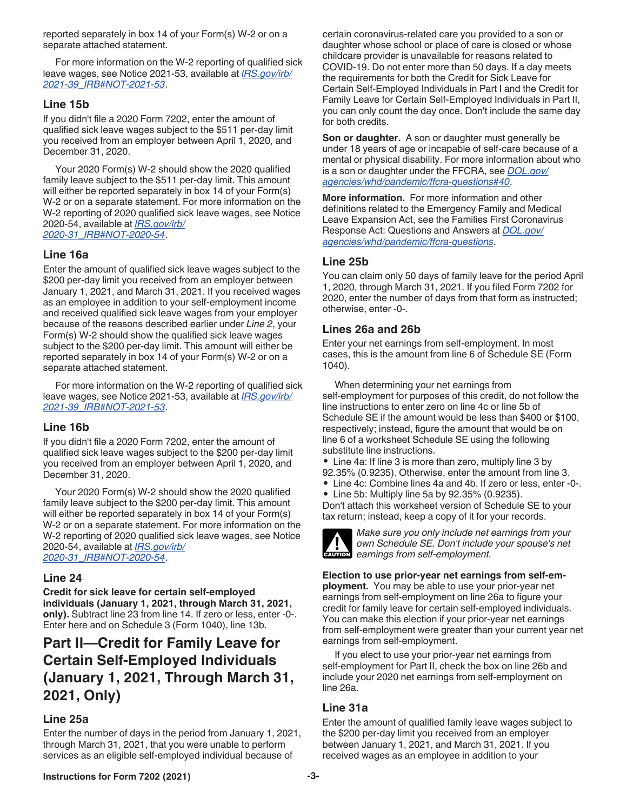reported separately in box 14 of your Form(s) W-2 or on a separate attached statement.

For more information on the W-2 reporting of qualified sick leave wages, see Notice 2021-53, available at *[IRS.gov/irb/](https://www.irs.gov/irb/2021-39_IRB#NOT-2021-53) [2021-39\\_IRB#NOT-2021-53](https://www.irs.gov/irb/2021-39_IRB#NOT-2021-53)*.

#### **Line 15b**

If you didn't file a 2020 Form 7202, enter the amount of qualified sick leave wages subject to the \$511 per-day limit you received from an employer between April 1, 2020, and December 31, 2020.

Your 2020 Form(s) W-2 should show the 2020 qualified family leave subject to the \$511 per-day limit. This amount will either be reported separately in box 14 of your Form(s) W-2 or on a separate statement. For more information on the W-2 reporting of 2020 qualified sick leave wages, see Notice 2020-54, available at *[IRS.gov/irb/](https://www.irs.gov/irb/2020-31_IRB#NOT-2020-54) [2020-31\\_IRB#NOT-2020-54](https://www.irs.gov/irb/2020-31_IRB#NOT-2020-54)*.

#### **Line 16a**

Enter the amount of qualified sick leave wages subject to the \$200 per-day limit you received from an employer between January 1, 2021, and March 31, 2021. If you received wages as an employee in addition to your self-employment income and received qualified sick leave wages from your employer because of the reasons described earlier under *Line 2*, your Form(s) W-2 should show the qualified sick leave wages subject to the \$200 per-day limit. This amount will either be reported separately in box 14 of your Form(s) W-2 or on a separate attached statement.

For more information on the W-2 reporting of qualified sick leave wages, see Notice 2021-53, available at *[IRS.gov/irb/](https://www.irs.gov/irb/2021-39_IRB#NOT-2021-53) [2021-39\\_IRB#NOT-2021-53](https://www.irs.gov/irb/2021-39_IRB#NOT-2021-53)*.

#### **Line 16b**

If you didn't file a 2020 Form 7202, enter the amount of qualified sick leave wages subject to the \$200 per-day limit you received from an employer between April 1, 2020, and December 31, 2020.

Your 2020 Form(s) W-2 should show the 2020 qualified family leave subject to the \$200 per-day limit. This amount will either be reported separately in box 14 of your Form(s) W-2 or on a separate statement. For more information on the W-2 reporting of 2020 qualified sick leave wages, see Notice 2020-54, available at *[IRS.gov/irb/](https://www.irs.gov/irb/2020-31_IRB#NOT-2020-54) [2020-31\\_IRB#NOT-2020-54](https://www.irs.gov/irb/2020-31_IRB#NOT-2020-54)*.

#### **Line 24**

**Credit for sick leave for certain self-employed individuals (January 1, 2021, through March 31, 2021, only).** Subtract line 23 from line 14. If zero or less, enter -0-. Enter here and on Schedule 3 (Form 1040), line 13b.

# **Part II—Credit for Family Leave for Certain Self-Employed Individuals (January 1, 2021, Through March 31, 2021, Only)**

#### **Line 25a**

Enter the number of days in the period from January 1, 2021, through March 31, 2021, that you were unable to perform services as an eligible self-employed individual because of

certain coronavirus-related care you provided to a son or daughter whose school or place of care is closed or whose childcare provider is unavailable for reasons related to COVID-19. Do not enter more than 50 days. If a day meets the requirements for both the Credit for Sick Leave for Certain Self-Employed Individuals in Part I and the Credit for Family Leave for Certain Self-Employed Individuals in Part II, you can only count the day once. Don't include the same day for both credits.

**Son or daughter.** A son or daughter must generally be under 18 years of age or incapable of self-care because of a mental or physical disability. For more information about who is a son or daughter under the FFCRA, see *[DOL.gov/](https://www.dol.gov/agencies/whd/pandemic/ffcra-questions#40) [agencies/whd/pandemic/ffcra-questions#40](https://www.dol.gov/agencies/whd/pandemic/ffcra-questions#40)*.

**More information.** For more information and other definitions related to the Emergency Family and Medical Leave Expansion Act, see the Families First Coronavirus Response Act: Questions and Answers at *[DOL.gov/](https://www.dol.gov/agencies/whd/pandemic/ffcra-questions) [agencies/whd/pandemic/ffcra-questions](https://www.dol.gov/agencies/whd/pandemic/ffcra-questions)*.

#### **Line 25b**

You can claim only 50 days of family leave for the period April 1, 2020, through March 31, 2021. If you filed Form 7202 for 2020, enter the number of days from that form as instructed; otherwise, enter -0-.

#### **Lines 26a and 26b**

Enter your net earnings from self-employment. In most cases, this is the amount from line 6 of Schedule SE (Form 1040).

When determining your net earnings from self-employment for purposes of this credit, do not follow the line instructions to enter zero on line 4c or line 5b of Schedule SE if the amount would be less than \$400 or \$100, respectively; instead, figure the amount that would be on line 6 of a worksheet Schedule SE using the following substitute line instructions.

- Line 4a: If line 3 is more than zero, multiply line 3 by 92.35% (0.9235). Otherwise, enter the amount from line 3.
- Line 4c: Combine lines 4a and 4b. If zero or less, enter -0-.
- Line 5b: Multiply line 5a by 92.35% (0.9235).

Don't attach this worksheet version of Schedule SE to your tax return; instead, keep a copy of it for your records.



*Make sure you only include net earnings from your own Schedule SE. Don't include your spouse's net*  **CAUTION** *earnings from self-employment.* 

**Election to use prior-year net earnings from self-employment.** You may be able to use your prior-year net earnings from self-employment on line 26a to figure your credit for family leave for certain self-employed individuals. You can make this election if your prior-year net earnings from self-employment were greater than your current year net earnings from self-employment.

If you elect to use your prior-year net earnings from self-employment for Part II, check the box on line 26b and include your 2020 net earnings from self-employment on line 26a.

#### **Line 31a**

Enter the amount of qualified family leave wages subject to the \$200 per-day limit you received from an employer between January 1, 2021, and March 31, 2021. If you received wages as an employee in addition to your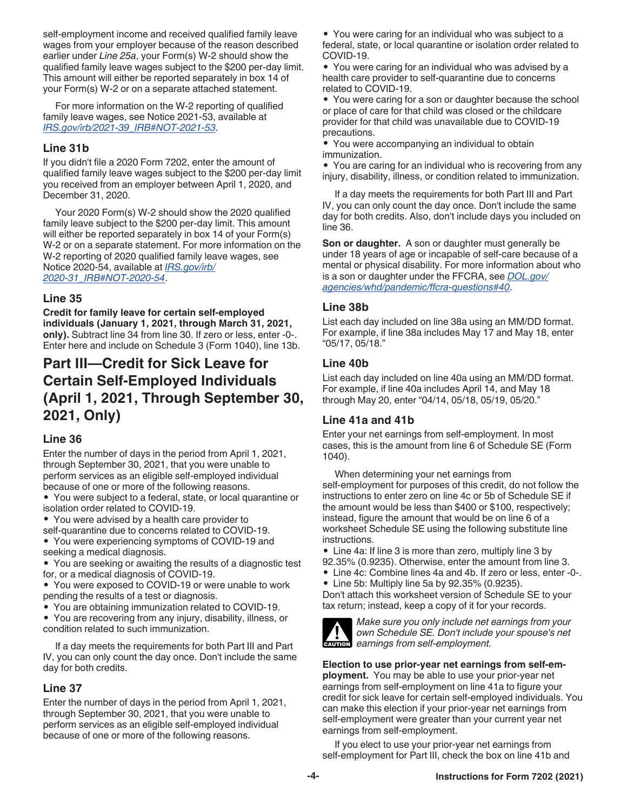self-employment income and received qualified family leave wages from your employer because of the reason described earlier under *Line 25a*, your Form(s) W-2 should show the qualified family leave wages subject to the \$200 per-day limit. This amount will either be reported separately in box 14 of your Form(s) W-2 or on a separate attached statement.

For more information on the W-2 reporting of qualified family leave wages, see Notice 2021-53, available at *[IRS.gov/irb/2021-39\\_IRB#NOT-2021-53](https://www.irs.gov/irb/2021-39_IRB#NOT-2021-53)*.

#### **Line 31b**

If you didn't file a 2020 Form 7202, enter the amount of qualified family leave wages subject to the \$200 per-day limit you received from an employer between April 1, 2020, and December 31, 2020.

Your 2020 Form(s) W-2 should show the 2020 qualified family leave subject to the \$200 per-day limit. This amount will either be reported separately in box 14 of your Form(s) W-2 or on a separate statement. For more information on the W-2 reporting of 2020 qualified family leave wages, see Notice 2020-54, available at *[IRS.gov/irb/](https://www.irs.gov/irb/2020-31_IRB#NOT-2020-54) [2020-31\\_IRB#NOT-2020-54](https://www.irs.gov/irb/2020-31_IRB#NOT-2020-54)*.

#### **Line 35**

**Credit for family leave for certain self-employed individuals (January 1, 2021, through March 31, 2021, only).** Subtract line 34 from line 30. If zero or less, enter -0-. Enter here and include on Schedule 3 (Form 1040), line 13b.

# **Part III—Credit for Sick Leave for Certain Self-Employed Individuals (April 1, 2021, Through September 30, 2021, Only)**

#### **Line 36**

Enter the number of days in the period from April 1, 2021, through September 30, 2021, that you were unable to perform services as an eligible self-employed individual because of one or more of the following reasons.

• You were subject to a federal, state, or local quarantine or isolation order related to COVID-19.

• You were advised by a health care provider to self-quarantine due to concerns related to COVID-19.

• You were experiencing symptoms of COVID-19 and seeking a medical diagnosis.

• You are seeking or awaiting the results of a diagnostic test for, or a medical diagnosis of COVID-19.

• You were exposed to COVID-19 or were unable to work pending the results of a test or diagnosis.

• You are obtaining immunization related to COVID-19.

• You are recovering from any injury, disability, illness, or condition related to such immunization.

If a day meets the requirements for both Part III and Part IV, you can only count the day once. Don't include the same day for both credits.

#### **Line 37**

Enter the number of days in the period from April 1, 2021, through September 30, 2021, that you were unable to perform services as an eligible self-employed individual because of one or more of the following reasons.

• You were caring for an individual who was subject to a federal, state, or local quarantine or isolation order related to COVID-19.

• You were caring for an individual who was advised by a health care provider to self-quarantine due to concerns related to COVID-19.

• You were caring for a son or daughter because the school or place of care for that child was closed or the childcare provider for that child was unavailable due to COVID-19 precautions.

• You were accompanying an individual to obtain immunization.

• You are caring for an individual who is recovering from any injury, disability, illness, or condition related to immunization.

If a day meets the requirements for both Part III and Part IV, you can only count the day once. Don't include the same day for both credits. Also, don't include days you included on line 36.

**Son or daughter.** A son or daughter must generally be under 18 years of age or incapable of self-care because of a mental or physical disability. For more information about who is a son or daughter under the FFCRA, see *[DOL.gov/](https://www.dol.gov/agencies/whd/pandemic/ffcra-questions#40) [agencies/whd/pandemic/ffcra-questions#40](https://www.dol.gov/agencies/whd/pandemic/ffcra-questions#40)*.

#### **Line 38b**

List each day included on line 38a using an MM/DD format. For example, if line 38a includes May 17 and May 18, enter "05/17, 05/18."

#### **Line 40b**

List each day included on line 40a using an MM/DD format. For example, if line 40a includes April 14, and May 18 through May 20, enter "04/14, 05/18, 05/19, 05/20."

#### **Line 41a and 41b**

Enter your net earnings from self-employment. In most cases, this is the amount from line 6 of Schedule SE (Form 1040).

When determining your net earnings from self-employment for purposes of this credit, do not follow the instructions to enter zero on line 4c or 5b of Schedule SE if the amount would be less than \$400 or \$100, respectively; instead, figure the amount that would be on line 6 of a worksheet Schedule SE using the following substitute line instructions.

• Line 4a: If line 3 is more than zero, multiply line 3 by 92.35% (0.9235). Otherwise, enter the amount from line 3.

- Line 4c: Combine lines 4a and 4b. If zero or less, enter -0-.
- Line 5b: Multiply line 5a by 92.35% (0.9235).

Don't attach this worksheet version of Schedule SE to your tax return; instead, keep a copy of it for your records.



*Make sure you only include net earnings from your own Schedule SE. Don't include your spouse's net*  **CAUTION** *examings from self-employment.* 

**Election to use prior-year net earnings from self-employment.** You may be able to use your prior-year net earnings from self-employment on line 41a to figure your credit for sick leave for certain self-employed individuals. You can make this election if your prior-year net earnings from self-employment were greater than your current year net earnings from self-employment.

If you elect to use your prior-year net earnings from self-employment for Part III, check the box on line 41b and